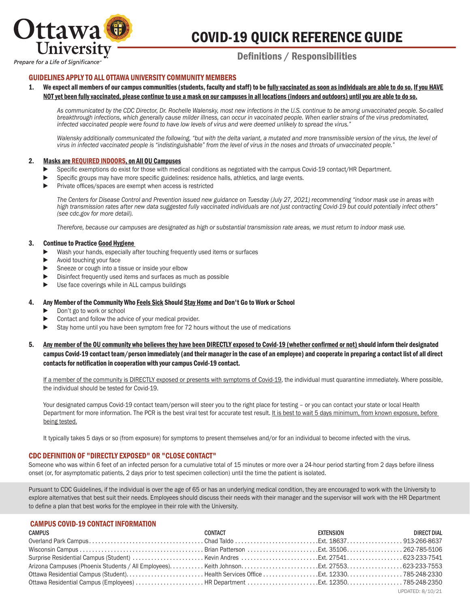

# COVID-19 QUICK REFERENCE GUIDE

Prepare for a Life of Significance

# Definitions / Responsibilities

# GUIDELINES APPLY TO ALL OTTAWA UNIVERSITY COMMUNITY MEMBERS

We expect all members of our campus communities (students, faculty and staff) to be fully vaccinated as soon as individuals are able to do so. If you HAVE NOT yet been fully vaccinated, please continue to use a mask on our campuses in all locations (indoors and outdoors) until you are able to do so.

*As communicated by the CDC Director, Dr. Rochelle Walensky, most new infections in the U.S. continue to be among unvaccinated people. So-called breakthrough infections, which generally cause milder illness, can occur in vaccinated people. When earlier strains of the virus predominated, infected vaccinated people were found to have low levels of virus and were deemed unlikely to spread the virus."*

Walensky additionally communicated the following, "but with the delta variant, a mutated and more transmissible version of the virus, the level of *virus in infected vaccinated people is "indistinguishable" from the level of virus in the noses and throats of unvaccinated people."*

#### 2. Masks are REQUIRED INDOORS, on All OU Campuses

- Specific exemptions do exist for those with medical conditions as negotiated with the campus Covid-19 contact/HR Department.
- ▶ Specific groups may have more specific guidelines: residence halls, athletics, and large events.
- ▶ Private offices/spaces are exempt when access is restricted

*The Centers for Disease Control and Prevention issued new guidance on Tuesday (July 27, 2021) recommending "indoor mask use in areas with high transmission rates after new data suggested fully vaccinated individuals are not just contracting Covid-19 but could potentially infect others" (see cdc.gov for more detail).*

*Therefore, because our campuses are designated as high or substantial transmission rate areas, we must return to indoor mask use.* 

#### 3. Continue to Practice Good Hygiene

- ▶ Wash your hands, especially after touching frequently used items or surfaces
- ► Avoid touching your face
- ▶ Sneeze or cough into a tissue or inside your elbow
- ▶ Disinfect frequently used items and surfaces as much as possible
- ► Use face coverings while in ALL campus buildings

#### 4. Any Member of the Community Who Feels Sick Should Stay Home and Don't Go to Work or School

- ► Don't go to work or school
- Contact and follow the advice of your medical provider.
- ► Stay home until you have been symptom free for 72 hours without the use of medications
- 5. Any member of the OU community who believes they have been DIRECTLY exposed to Covid-19 (whether confirmed or not) should inform their designated campus Covid-19 contact team/person immediately (and their manager in the case of an employee) and cooperate in preparing a contact list of all direct contacts for notification in cooperation with your campus Covid-19 contact.

If a member of the community is DIRECTLY exposed or presents with symptoms of Covid-19, the individual must quarantine immediately. Where possible, the individual should be tested for Covid-19.

Your designated campus Covid-19 contact team/person will steer you to the right place for testing - or you can contact your state or local Health Department for more information. The PCR is the best viral test for accurate test result. It is best to wait 5 days minimum, from known exposure, before being tested.

 It typically takes 5 days or so (from exposure) for symptoms to present themselves and/or for an individual to become infected with the virus.

# CDC DEFINITION OF "DIRECTLY EXPOSED" OR "CLOSE CONTACT"

Someone who was within 6 feet of an infected person for a cumulative total of 15 minutes or more over a 24-hour period starting from 2 days before illness onset (or, for asymptomatic patients, 2 days prior to test specimen collection) until the time the patient is isolated.

Pursuant to CDC Guidelines, if the individual is over the age of 65 or has an underlying medical condition, they are encouraged to work with the University to explore alternatives that best suit their needs. Employees should discuss their needs with their manager and the supervisor will work with the HR Department to define a plan that best works for the employee in their role with the University.

# CAMPUS COVID-19 CONTACT INFORMATION

| CAMPUS | CONTACT | <b>EXTENSION</b> | DIRECT DIAL      |
|--------|---------|------------------|------------------|
|        |         |                  |                  |
|        |         |                  |                  |
|        |         |                  |                  |
|        |         |                  |                  |
|        |         |                  |                  |
|        |         |                  |                  |
|        |         |                  | UPDATED: 8/10/21 |